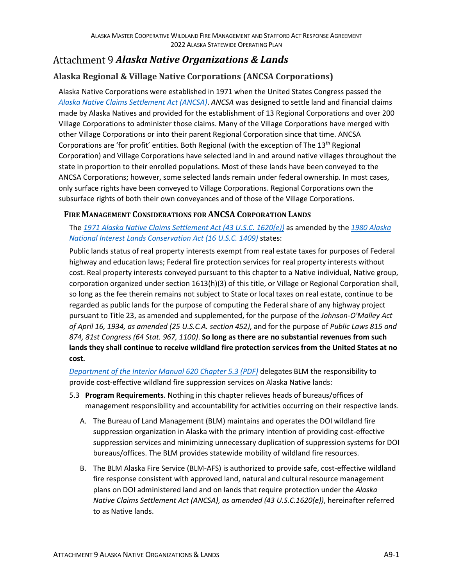# *Alaska Native Organizations & Lands*

## **Alaska Regional & Village Native Corporations (ANCSA Corporations)**

Alaska Native Corporations were established in 1971 when the United States Congress passed the *[Alaska Native Claims Settlement Act \(ANCSA\)](https://uscode.house.gov/view.xhtml?path=/prelim@title43/chapter33&edition=prelim)*. *ANCSA* was designed to settle land and financial claims made by Alaska Natives and provided for the establishment of 13 Regional Corporations and over 200 Village Corporations to administer those claims. Many of the Village Corporations have merged with other Village Corporations or into their parent Regional Corporation since that time. ANCSA Corporations are 'for profit' entities. Both Regional (with the exception of The 13<sup>th</sup> Regional Corporation) and Village Corporations have selected land in and around native villages throughout the state in proportion to their enrolled populations. Most of these lands have been conveyed to the ANCSA Corporations; however, some selected lands remain under federal ownership. In most cases, only surface rights have been conveyed to Village Corporations. Regional Corporations own the subsurface rights of both their own conveyances and of those of the Village Corporations.

#### <span id="page-0-0"></span>**FIRE MANAGEMENT CONSIDERATIONS FOR ANCSA CORPORATION LANDS**

The *[1971 Alaska Native Claims Settlement Act \(43 U.S.C. 1620\(e\)\)](https://uscode.house.gov/view.xhtml?path=/prelim@title43/chapter33&edition=prelim)* as amended by the *[1980 Alaska](https://uscode.house.gov/view.xhtml?path=/prelim@title16/chapter51&edition=prelim)  [National Interest Lands Conservation Act \(16 U.S.C. 1409\)](https://uscode.house.gov/view.xhtml?path=/prelim@title16/chapter51&edition=prelim)* states:

Public lands status of real property interests exempt from real estate taxes for purposes of Federal highway and education laws; Federal fire protection services for real property interests without cost. Real property interests conveyed pursuant to this chapter to a Native individual, Native group, corporation organized under section 1613(h)(3) of this title, or Village or Regional Corporation shall, so long as the fee therein remains not subject to State or local taxes on real estate, continue to be regarded as public lands for the purpose of computing the Federal share of any highway project pursuant to Title 23, as amended and supplemented, for the purpose of the *Johnson-O'Malley Act of April 16, 1934, as amended (25 U.S.C.A. section 452)*, and for the purpose of *Public Laws 815 and 874, 81st Congress (64 Stat. 967, 1100)*. **So long as there are no substantial revenues from such lands they shall continue to receive wildland fire protection services from the United States at no cost.**

*[Department of the Interior Manual 620 Chapter 5.3 \(PDF\)](https://www.doi.gov/sites/doi.gov/files/elips/documents/620-dm-5.pdf)* delegates BLM the responsibility to provide cost-effective wildland fire suppression services on Alaska Native lands:

- 5.3 **Program Requirements**. Nothing in this chapter relieves heads of bureaus/offices of management responsibility and accountability for activities occurring on their respective lands.
	- A. The Bureau of Land Management (BLM) maintains and operates the DOI wildland fire suppression organization in Alaska with the primary intention of providing cost-effective suppression services and minimizing unnecessary duplication of suppression systems for DOI bureaus/offices. The BLM provides statewide mobility of wildland fire resources.
	- B. The BLM Alaska Fire Service (BLM-AFS) is authorized to provide safe, cost-effective wildland fire response consistent with approved land, natural and cultural resource management plans on DOI administered land and on lands that require protection under the *Alaska Native Claims Settlement Act (ANCSA), as amended (43 U.S.C.1620(e))*, hereinafter referred to as Native lands.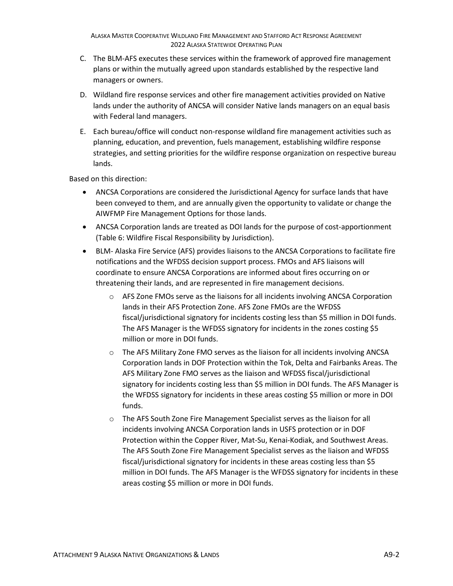- C. The BLM-AFS executes these services within the framework of approved fire management plans or within the mutually agreed upon standards established by the respective land managers or owners.
- D. Wildland fire response services and other fire management activities provided on Native lands under the authority of ANCSA will consider Native lands managers on an equal basis with Federal land managers.
- E. Each bureau/office will conduct non-response wildland fire management activities such as planning, education, and prevention, fuels management, establishing wildfire response strategies, and setting priorities for the wildfire response organization on respective bureau lands.

Based on this direction:

- ANCSA Corporations are considered the Jurisdictional Agency for surface lands that have been conveyed to them, and are annually given the opportunity to validate or change the AIWFMP Fire Management Options for those lands.
- ANCSA Corporation lands are treated as DOI lands for the purpose of cost-apportionment (Table 6: Wildfire Fiscal Responsibility by Jurisdiction).
- BLM- Alaska Fire Service (AFS) provides liaisons to the ANCSA Corporations to facilitate fire notifications and the WFDSS decision support process. FMOs and AFS liaisons will coordinate to ensure ANCSA Corporations are informed about fires occurring on or threatening their lands, and are represented in fire management decisions.
	- o AFS Zone FMOs serve as the liaisons for all incidents involving ANCSA Corporation lands in their AFS Protection Zone. AFS Zone FMOs are the WFDSS fiscal/jurisdictional signatory for incidents costing less than \$5 million in DOI funds. The AFS Manager is the WFDSS signatory for incidents in the zones costing \$5 million or more in DOI funds.
	- $\circ$  The AFS Military Zone FMO serves as the liaison for all incidents involving ANCSA Corporation lands in DOF Protection within the Tok, Delta and Fairbanks Areas. The AFS Military Zone FMO serves as the liaison and WFDSS fiscal/jurisdictional signatory for incidents costing less than \$5 million in DOI funds. The AFS Manager is the WFDSS signatory for incidents in these areas costing \$5 million or more in DOI funds.
	- o The AFS South Zone Fire Management Specialist serves as the liaison for all incidents involving ANCSA Corporation lands in USFS protection or in DOF Protection within the Copper River, Mat-Su, Kenai-Kodiak, and Southwest Areas. The AFS South Zone Fire Management Specialist serves as the liaison and WFDSS fiscal/jurisdictional signatory for incidents in these areas costing less than \$5 million in DOI funds. The AFS Manager is the WFDSS signatory for incidents in these areas costing \$5 million or more in DOI funds.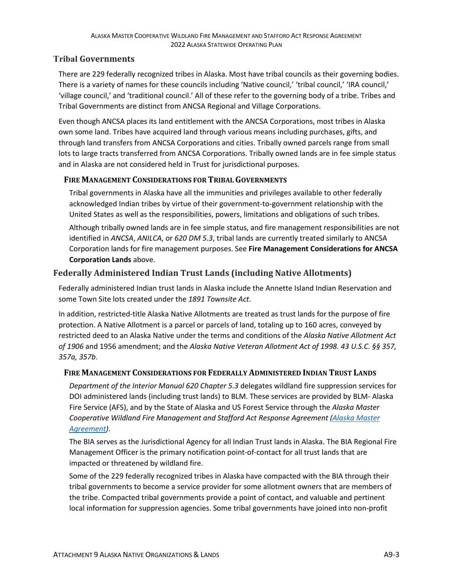### **Tribal Governments**

There are 229 federally recognized tribes in Alaska. Most have tribal councils as their governing bodies. There is a variety of names for these councils including 'Native council,' 'tribal council,' 'IRA council,' 'village council,' and 'traditional council.' All of these refer to the governing body of a tribe. Tribes and Tribal Governments are distinct from ANCSA Regional and Village Corporations.

Even though ANCSA places its land entitlement with the ANCSA Corporations, most tribes in Alaska own some land. Tribes have acquired land through various means including purchases, gifts, and through land transfers from ANCSA Corporations and cities. Tribally owned parcels range from small lots to large tracts transferred from ANCSA Corporations. Tribally owned lands are in fee simple status and in Alaska are not considered held in Trust for jurisdictional purposes.

#### **FIRE MANAGEMENT CONSIDERATIONS FOR TRIBAL GOVERNMENTS**

Tribal governments in Alaska have all the immunities and privileges available to other federally acknowledged Indian tribes by virtue of their government-to-government relationship with the United States as well as the responsibilities, powers, limitations and obligations of such tribes.

Although tribally owned lands are in fee simple status, and fire management responsibilities are not identified in *ANCSA*, *ANILCA*, or *620 DM 5.3*, tribal lands are currently treated similarly to ANCSA Corporation lands for fire management purposes. See **[Fire Management Considerations for ANCSA](#page-0-0)  [Corporation Lands](#page-0-0)** above.

## **Federally Administered Indian Trust Lands (including Native Allotments)**

Federally administered Indian trust lands in Alaska include the Annette Island Indian Reservation and some Town Site lots created under the *1891 Townsite Act*.

In addition, restricted-title Alaska Native Allotments are treated as trust lands for the purpose of fire protection. A Native Allotment is a parcel or parcels of land, totaling up to 160 acres, conveyed by restricted deed to an Alaska Native under the terms and conditions of the *Alaska Native Allotment Act of 1906* and 1956 amendment; and the *Alaska Native Veteran Allotment Act of 1998. 43 U.S.C. §§ 357, 357a, 357b*.

### **FIRE MANAGEMENT CONSIDERATIONS FOR FEDERALLY ADMINISTERED INDIAN TRUST LANDS**

*Department of the Interior Manual 620 Chapter 5.3* delegates wildland fire suppression services for DOI administered lands (including trust lands) to BLM. These services are provided by BLM- Alaska Fire Service (AFS), and by the State of Alaska and US Forest Service through the *Alaska Master Cooperative Wildland Fire Management and Stafford Act Response Agreement [\(Alaska Master](https://fire.ak.blm.gov/administration/asma.php)  [Agreement\)](https://fire.ak.blm.gov/administration/asma.php)*.

The BIA serves as the Jurisdictional Agency for all Indian Trust lands in Alaska. The BIA Regional Fire Management Officer is the primary notification point-of-contact for all trust lands that are impacted or threatened by wildland fire.

Some of the 229 federally recognized tribes in Alaska have compacted with the BIA through their tribal governments to become a service provider for some allotment owners that are members of the tribe. Compacted tribal governments provide a point of contact, and valuable and pertinent local information for suppression agencies. Some tribal governments have joined into non-profit